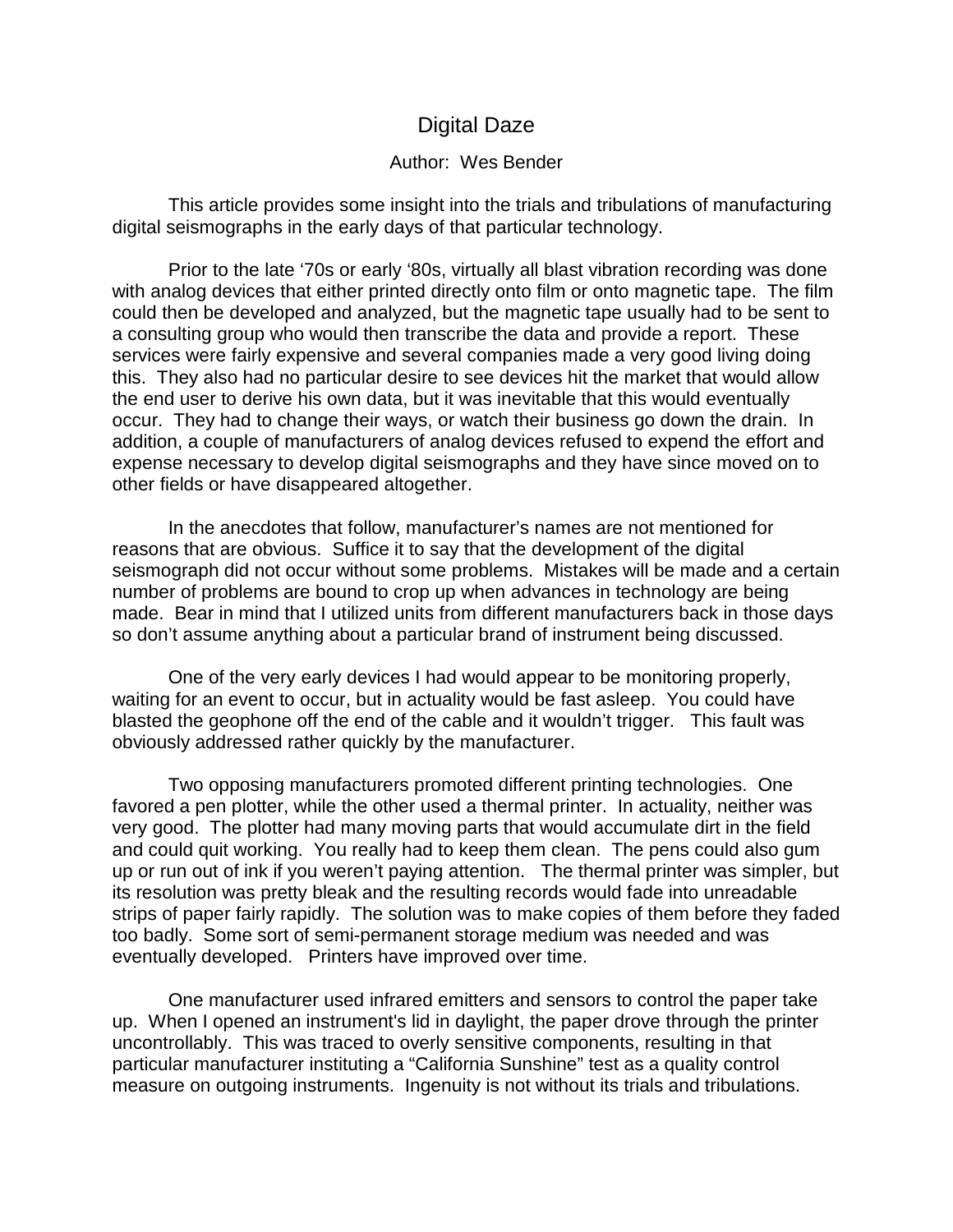## Digital Daze

## Author: Wes Bender

This article provides some insight into the trials and tribulations of manufacturing digital seismographs in the early days of that particular technology.

Prior to the late '70s or early '80s, virtually all blast vibration recording was done with analog devices that either printed directly onto film or onto magnetic tape. The film could then be developed and analyzed, but the magnetic tape usually had to be sent to a consulting group who would then transcribe the data and provide a report. These services were fairly expensive and several companies made a very good living doing this. They also had no particular desire to see devices hit the market that would allow the end user to derive his own data, but it was inevitable that this would eventually occur. They had to change their ways, or watch their business go down the drain. In addition, a couple of manufacturers of analog devices refused to expend the effort and expense necessary to develop digital seismographs and they have since moved on to other fields or have disappeared altogether.

In the anecdotes that follow, manufacturer's names are not mentioned for reasons that are obvious. Suffice it to say that the development of the digital seismograph did not occur without some problems. Mistakes will be made and a certain number of problems are bound to crop up when advances in technology are being made. Bear in mind that I utilized units from different manufacturers back in those days so don't assume anything about a particular brand of instrument being discussed.

One of the very early devices I had would appear to be monitoring properly, waiting for an event to occur, but in actuality would be fast asleep. You could have blasted the geophone off the end of the cable and it wouldn't trigger. This fault was obviously addressed rather quickly by the manufacturer.

Two opposing manufacturers promoted different printing technologies. One favored a pen plotter, while the other used a thermal printer. In actuality, neither was very good. The plotter had many moving parts that would accumulate dirt in the field and could quit working. You really had to keep them clean. The pens could also gum up or run out of ink if you weren't paying attention. The thermal printer was simpler, but its resolution was pretty bleak and the resulting records would fade into unreadable strips of paper fairly rapidly. The solution was to make copies of them before they faded too badly. Some sort of semi-permanent storage medium was needed and was eventually developed. Printers have improved over time.

One manufacturer used infrared emitters and sensors to control the paper take up. When I opened an instrument's lid in daylight, the paper drove through the printer uncontrollably. This was traced to overly sensitive components, resulting in that particular manufacturer instituting a "California Sunshine" test as a quality control measure on outgoing instruments. Ingenuity is not without its trials and tribulations.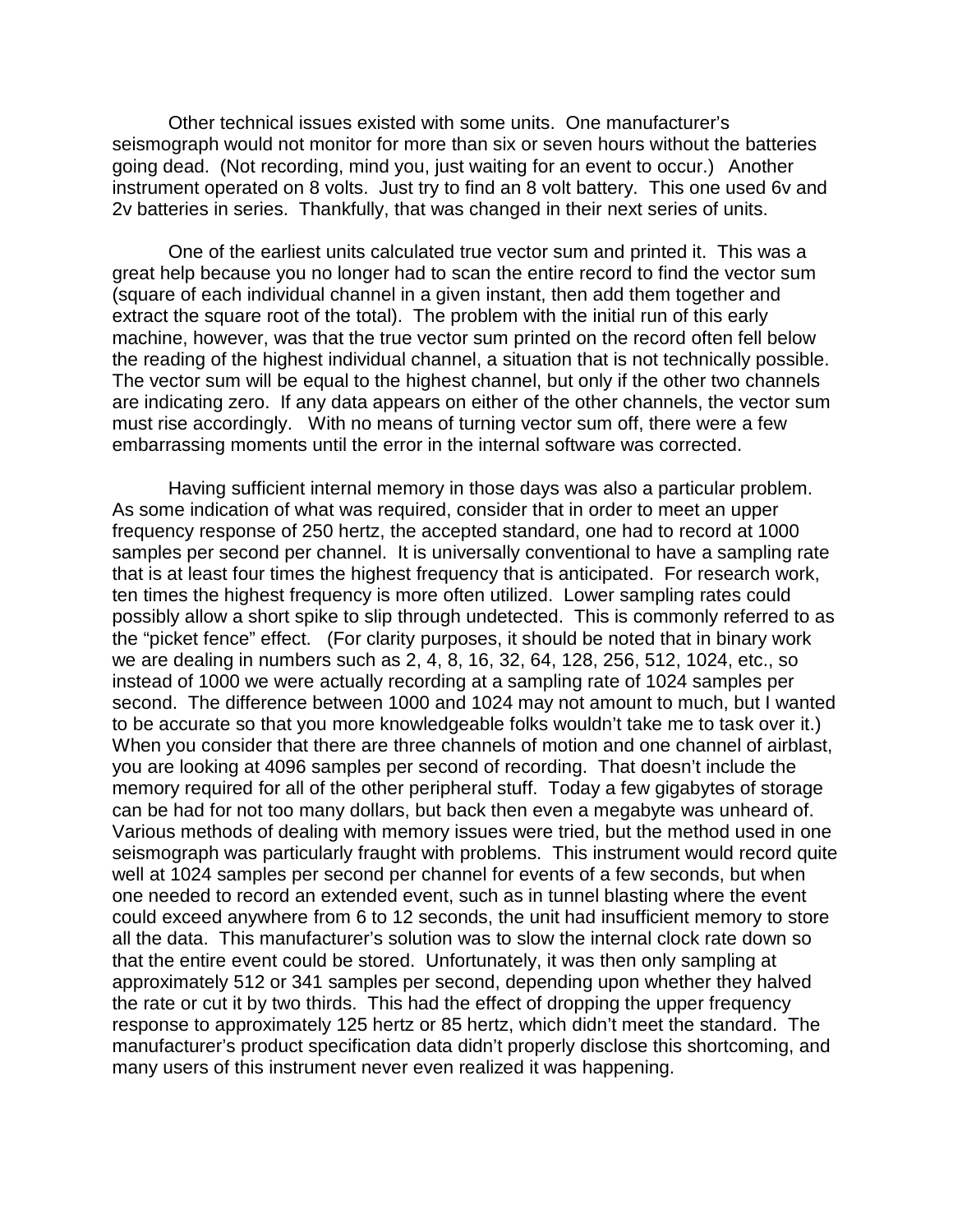Other technical issues existed with some units. One manufacturer's seismograph would not monitor for more than six or seven hours without the batteries going dead. (Not recording, mind you, just waiting for an event to occur.) Another instrument operated on 8 volts. Just try to find an 8 volt battery. This one used 6v and 2v batteries in series. Thankfully, that was changed in their next series of units.

One of the earliest units calculated true vector sum and printed it. This was a great help because you no longer had to scan the entire record to find the vector sum (square of each individual channel in a given instant, then add them together and extract the square root of the total). The problem with the initial run of this early machine, however, was that the true vector sum printed on the record often fell below the reading of the highest individual channel, a situation that is not technically possible. The vector sum will be equal to the highest channel, but only if the other two channels are indicating zero. If any data appears on either of the other channels, the vector sum must rise accordingly. With no means of turning vector sum off, there were a few embarrassing moments until the error in the internal software was corrected.

Having sufficient internal memory in those days was also a particular problem. As some indication of what was required, consider that in order to meet an upper frequency response of 250 hertz, the accepted standard, one had to record at 1000 samples per second per channel. It is universally conventional to have a sampling rate that is at least four times the highest frequency that is anticipated. For research work, ten times the highest frequency is more often utilized. Lower sampling rates could possibly allow a short spike to slip through undetected. This is commonly referred to as the "picket fence" effect. (For clarity purposes, it should be noted that in binary work we are dealing in numbers such as 2, 4, 8, 16, 32, 64, 128, 256, 512, 1024, etc., so instead of 1000 we were actually recording at a sampling rate of 1024 samples per second. The difference between 1000 and 1024 may not amount to much, but I wanted to be accurate so that you more knowledgeable folks wouldn't take me to task over it.) When you consider that there are three channels of motion and one channel of airblast, you are looking at 4096 samples per second of recording. That doesn't include the memory required for all of the other peripheral stuff. Today a few gigabytes of storage can be had for not too many dollars, but back then even a megabyte was unheard of. Various methods of dealing with memory issues were tried, but the method used in one seismograph was particularly fraught with problems. This instrument would record quite well at 1024 samples per second per channel for events of a few seconds, but when one needed to record an extended event, such as in tunnel blasting where the event could exceed anywhere from 6 to 12 seconds, the unit had insufficient memory to store all the data. This manufacturer's solution was to slow the internal clock rate down so that the entire event could be stored. Unfortunately, it was then only sampling at approximately 512 or 341 samples per second, depending upon whether they halved the rate or cut it by two thirds. This had the effect of dropping the upper frequency response to approximately 125 hertz or 85 hertz, which didn't meet the standard. The manufacturer's product specification data didn't properly disclose this shortcoming, and many users of this instrument never even realized it was happening.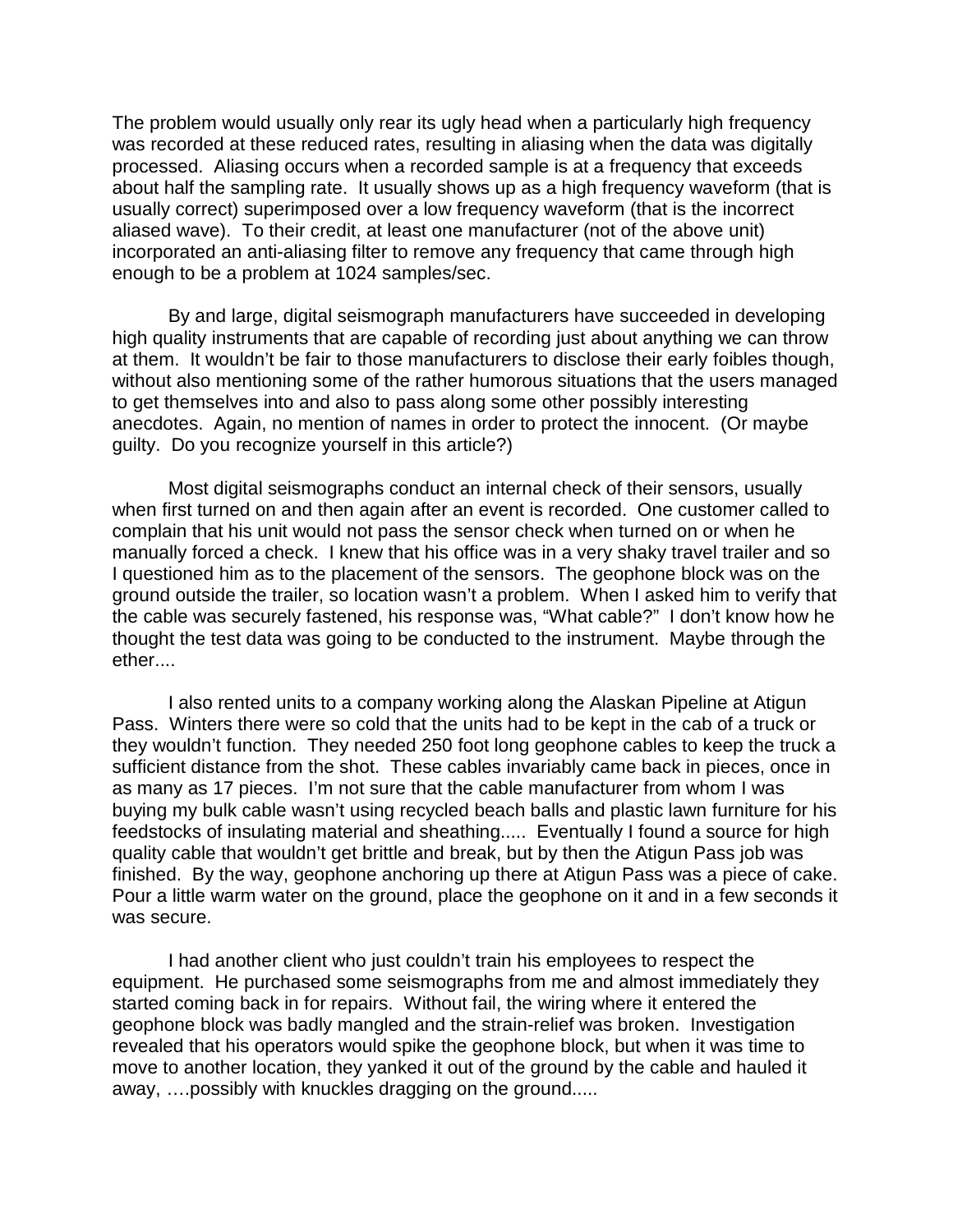The problem would usually only rear its ugly head when a particularly high frequency was recorded at these reduced rates, resulting in aliasing when the data was digitally processed. Aliasing occurs when a recorded sample is at a frequency that exceeds about half the sampling rate. It usually shows up as a high frequency waveform (that is usually correct) superimposed over a low frequency waveform (that is the incorrect aliased wave). To their credit, at least one manufacturer (not of the above unit) incorporated an anti-aliasing filter to remove any frequency that came through high enough to be a problem at 1024 samples/sec.

By and large, digital seismograph manufacturers have succeeded in developing high quality instruments that are capable of recording just about anything we can throw at them. It wouldn't be fair to those manufacturers to disclose their early foibles though, without also mentioning some of the rather humorous situations that the users managed to get themselves into and also to pass along some other possibly interesting anecdotes. Again, no mention of names in order to protect the innocent. (Or maybe guilty. Do you recognize yourself in this article?)

Most digital seismographs conduct an internal check of their sensors, usually when first turned on and then again after an event is recorded. One customer called to complain that his unit would not pass the sensor check when turned on or when he manually forced a check. I knew that his office was in a very shaky travel trailer and so I questioned him as to the placement of the sensors. The geophone block was on the ground outside the trailer, so location wasn't a problem. When I asked him to verify that the cable was securely fastened, his response was, "What cable?" I don't know how he thought the test data was going to be conducted to the instrument. Maybe through the ether....

I also rented units to a company working along the Alaskan Pipeline at Atigun Pass. Winters there were so cold that the units had to be kept in the cab of a truck or they wouldn't function. They needed 250 foot long geophone cables to keep the truck a sufficient distance from the shot. These cables invariably came back in pieces, once in as many as 17 pieces. I'm not sure that the cable manufacturer from whom I was buying my bulk cable wasn't using recycled beach balls and plastic lawn furniture for his feedstocks of insulating material and sheathing..... Eventually I found a source for high quality cable that wouldn't get brittle and break, but by then the Atigun Pass job was finished. By the way, geophone anchoring up there at Atigun Pass was a piece of cake. Pour a little warm water on the ground, place the geophone on it and in a few seconds it was secure.

I had another client who just couldn't train his employees to respect the equipment. He purchased some seismographs from me and almost immediately they started coming back in for repairs. Without fail, the wiring where it entered the geophone block was badly mangled and the strain-relief was broken. Investigation revealed that his operators would spike the geophone block, but when it was time to move to another location, they yanked it out of the ground by the cable and hauled it away, ….possibly with knuckles dragging on the ground.....